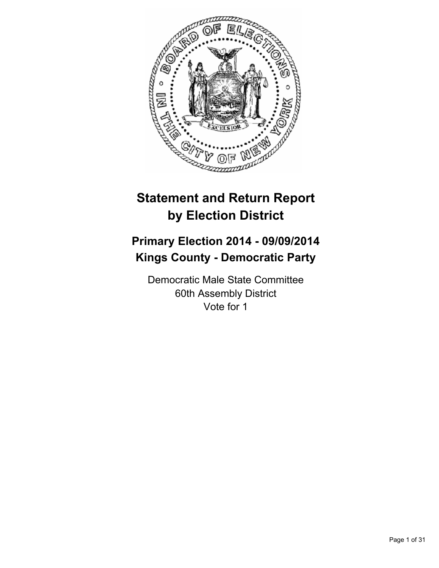

# **Statement and Return Report by Election District**

# **Primary Election 2014 - 09/09/2014 Kings County - Democratic Party**

Democratic Male State Committee 60th Assembly District Vote for 1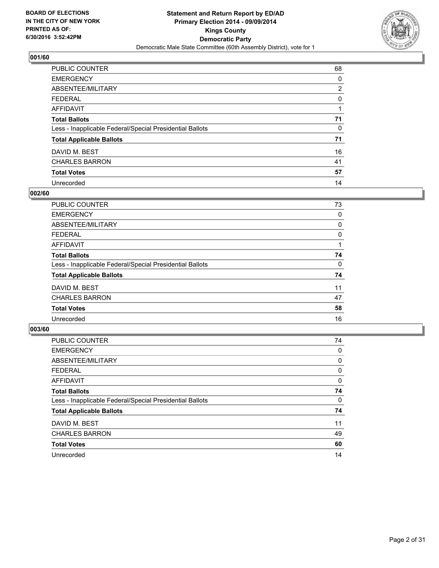

| PUBLIC COUNTER                                           | 68             |
|----------------------------------------------------------|----------------|
| <b>EMERGENCY</b>                                         | 0              |
| ABSENTEE/MILITARY                                        | $\overline{2}$ |
| <b>FEDERAL</b>                                           | 0              |
| <b>AFFIDAVIT</b>                                         |                |
| <b>Total Ballots</b>                                     | 71             |
| Less - Inapplicable Federal/Special Presidential Ballots | 0              |
| <b>Total Applicable Ballots</b>                          | 71             |
| DAVID M. BEST                                            | 16             |
| <b>CHARLES BARRON</b>                                    | 41             |
| <b>Total Votes</b>                                       | 57             |
| Unrecorded                                               | 14             |

#### **002/60**

| PUBLIC COUNTER                                           | 73 |
|----------------------------------------------------------|----|
| <b>EMERGENCY</b>                                         | 0  |
| ABSENTEE/MILITARY                                        | 0  |
| <b>FEDERAL</b>                                           | 0  |
| <b>AFFIDAVIT</b>                                         |    |
| <b>Total Ballots</b>                                     | 74 |
| Less - Inapplicable Federal/Special Presidential Ballots | 0  |
| <b>Total Applicable Ballots</b>                          | 74 |
| DAVID M. BEST                                            | 11 |
| <b>CHARLES BARRON</b>                                    | 47 |
| <b>Total Votes</b>                                       | 58 |
| Unrecorded                                               | 16 |
|                                                          |    |

| PUBLIC COUNTER                                           | 74 |
|----------------------------------------------------------|----|
| <b>EMERGENCY</b>                                         | 0  |
| ABSENTEE/MILITARY                                        | 0  |
| <b>FEDERAL</b>                                           | 0  |
| <b>AFFIDAVIT</b>                                         | 0  |
| <b>Total Ballots</b>                                     | 74 |
| Less - Inapplicable Federal/Special Presidential Ballots | 0  |
| <b>Total Applicable Ballots</b>                          | 74 |
| DAVID M. BEST                                            | 11 |
| <b>CHARLES BARRON</b>                                    | 49 |
| <b>Total Votes</b>                                       | 60 |
| Unrecorded                                               | 14 |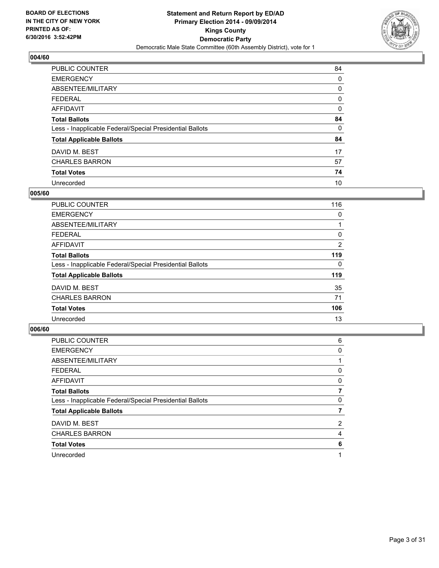

| PUBLIC COUNTER                                           | 84 |
|----------------------------------------------------------|----|
| <b>EMERGENCY</b>                                         | 0  |
| ABSENTEE/MILITARY                                        | 0  |
| <b>FEDERAL</b>                                           | 0  |
| <b>AFFIDAVIT</b>                                         | 0  |
| <b>Total Ballots</b>                                     | 84 |
| Less - Inapplicable Federal/Special Presidential Ballots | 0  |
| <b>Total Applicable Ballots</b>                          | 84 |
| DAVID M. BEST                                            | 17 |
| <b>CHARLES BARRON</b>                                    | 57 |
| <b>Total Votes</b>                                       | 74 |
| Unrecorded                                               | 10 |

#### **005/60**

| PUBLIC COUNTER                                           | 116 |
|----------------------------------------------------------|-----|
| <b>EMERGENCY</b>                                         | 0   |
| ABSENTEE/MILITARY                                        |     |
| <b>FEDERAL</b>                                           | 0   |
| AFFIDAVIT                                                | 2   |
| <b>Total Ballots</b>                                     | 119 |
| Less - Inapplicable Federal/Special Presidential Ballots | 0   |
| <b>Total Applicable Ballots</b>                          | 119 |
| DAVID M. BEST                                            | 35  |
| <b>CHARLES BARRON</b>                                    | 71  |
| <b>Total Votes</b>                                       | 106 |
| Unrecorded                                               | 13  |
|                                                          |     |

| PUBLIC COUNTER                                           | 6 |
|----------------------------------------------------------|---|
| <b>EMERGENCY</b>                                         | 0 |
| ABSENTEE/MILITARY                                        |   |
| <b>FEDERAL</b>                                           | 0 |
| <b>AFFIDAVIT</b>                                         | 0 |
| <b>Total Ballots</b>                                     |   |
| Less - Inapplicable Federal/Special Presidential Ballots | 0 |
| <b>Total Applicable Ballots</b>                          |   |
| DAVID M. BEST                                            | 2 |
| <b>CHARLES BARRON</b>                                    | 4 |
| <b>Total Votes</b>                                       | 6 |
| Unrecorded                                               |   |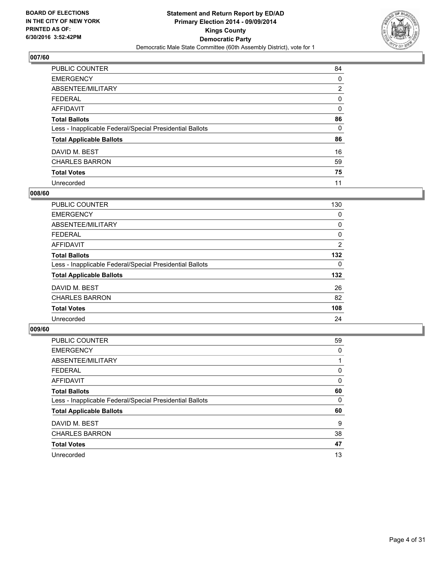

| PUBLIC COUNTER                                           | 84             |
|----------------------------------------------------------|----------------|
| <b>EMERGENCY</b>                                         | 0              |
| ABSENTEE/MILITARY                                        | $\overline{2}$ |
| <b>FEDERAL</b>                                           | 0              |
| <b>AFFIDAVIT</b>                                         | 0              |
| <b>Total Ballots</b>                                     | 86             |
| Less - Inapplicable Federal/Special Presidential Ballots | 0              |
| <b>Total Applicable Ballots</b>                          | 86             |
| DAVID M. BEST                                            | 16             |
| <b>CHARLES BARRON</b>                                    | 59             |
| <b>Total Votes</b>                                       | 75             |
| Unrecorded                                               | 11             |

#### **008/60**

| PUBLIC COUNTER                                           | 130 |
|----------------------------------------------------------|-----|
| <b>EMERGENCY</b>                                         | 0   |
| ABSENTEE/MILITARY                                        | 0   |
| <b>FEDERAL</b>                                           | 0   |
| AFFIDAVIT                                                | 2   |
| <b>Total Ballots</b>                                     | 132 |
| Less - Inapplicable Federal/Special Presidential Ballots | 0   |
| <b>Total Applicable Ballots</b>                          | 132 |
| DAVID M. BEST                                            | 26  |
| <b>CHARLES BARRON</b>                                    | 82  |
| <b>Total Votes</b>                                       | 108 |
| Unrecorded                                               | 24  |
|                                                          |     |

| PUBLIC COUNTER                                           | 59 |
|----------------------------------------------------------|----|
| <b>EMERGENCY</b>                                         | 0  |
| ABSENTEE/MILITARY                                        |    |
| <b>FEDERAL</b>                                           | 0  |
| AFFIDAVIT                                                | 0  |
| <b>Total Ballots</b>                                     | 60 |
| Less - Inapplicable Federal/Special Presidential Ballots | 0  |
| <b>Total Applicable Ballots</b>                          | 60 |
| DAVID M. BEST                                            | 9  |
| <b>CHARLES BARRON</b>                                    | 38 |
| <b>Total Votes</b>                                       | 47 |
| Unrecorded                                               | 13 |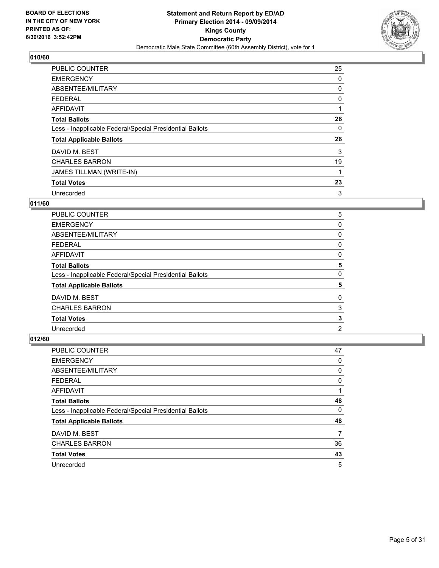

| <b>PUBLIC COUNTER</b>                                    | 25 |
|----------------------------------------------------------|----|
| <b>EMERGENCY</b>                                         | 0  |
| ABSENTEE/MILITARY                                        | 0  |
| <b>FEDERAL</b>                                           | 0  |
| AFFIDAVIT                                                |    |
| <b>Total Ballots</b>                                     | 26 |
| Less - Inapplicable Federal/Special Presidential Ballots | 0  |
| <b>Total Applicable Ballots</b>                          | 26 |
| DAVID M. BEST                                            | 3  |
| <b>CHARLES BARRON</b>                                    | 19 |
| <b>JAMES TILLMAN (WRITE-IN)</b>                          |    |
| <b>Total Votes</b>                                       | 23 |
| Unrecorded                                               | 3  |

# **011/60**

| <b>PUBLIC COUNTER</b>                                    | 5 |
|----------------------------------------------------------|---|
| <b>EMERGENCY</b>                                         | 0 |
| ABSENTEE/MILITARY                                        | 0 |
| <b>FEDERAL</b>                                           | 0 |
| AFFIDAVIT                                                | 0 |
| <b>Total Ballots</b>                                     | 5 |
| Less - Inapplicable Federal/Special Presidential Ballots | 0 |
| <b>Total Applicable Ballots</b>                          | 5 |
| DAVID M. BEST                                            | 0 |
| <b>CHARLES BARRON</b>                                    | 3 |
| <b>Total Votes</b>                                       | 3 |
| Unrecorded                                               | 2 |

| <b>PUBLIC COUNTER</b>                                    | 47 |
|----------------------------------------------------------|----|
| <b>EMERGENCY</b>                                         | 0  |
| ABSENTEE/MILITARY                                        | 0  |
| <b>FEDERAL</b>                                           | 0  |
| AFFIDAVIT                                                | 1  |
| <b>Total Ballots</b>                                     | 48 |
| Less - Inapplicable Federal/Special Presidential Ballots | 0  |
| <b>Total Applicable Ballots</b>                          | 48 |
| DAVID M. BEST                                            | 7  |
| <b>CHARLES BARRON</b>                                    | 36 |
| <b>Total Votes</b>                                       | 43 |
| Unrecorded                                               | 5  |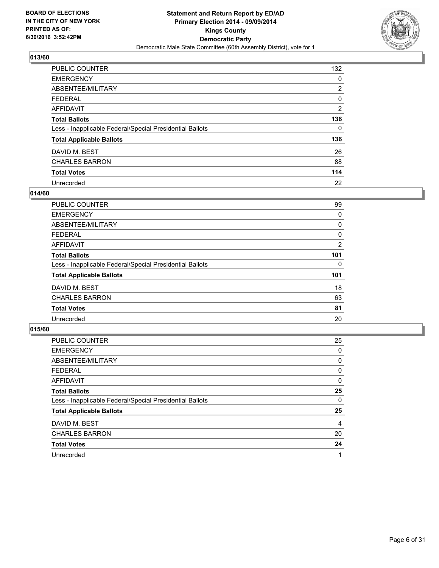

| <b>PUBLIC COUNTER</b>                                    | 132            |
|----------------------------------------------------------|----------------|
| <b>EMERGENCY</b>                                         | 0              |
| ABSENTEE/MILITARY                                        | 2              |
| <b>FEDERAL</b>                                           | 0              |
| AFFIDAVIT                                                | $\overline{2}$ |
| <b>Total Ballots</b>                                     | 136            |
| Less - Inapplicable Federal/Special Presidential Ballots | 0              |
| <b>Total Applicable Ballots</b>                          | 136            |
| DAVID M. BEST                                            | 26             |
| <b>CHARLES BARRON</b>                                    | 88             |
| <b>Total Votes</b>                                       | 114            |
| Unrecorded                                               | 22             |

#### **014/60**

| <b>PUBLIC COUNTER</b>                                    | 99  |
|----------------------------------------------------------|-----|
| <b>EMERGENCY</b>                                         | 0   |
| ABSENTEE/MILITARY                                        | 0   |
| <b>FEDERAL</b>                                           | 0   |
| AFFIDAVIT                                                | 2   |
| <b>Total Ballots</b>                                     | 101 |
| Less - Inapplicable Federal/Special Presidential Ballots | 0   |
| <b>Total Applicable Ballots</b>                          | 101 |
| DAVID M. BEST                                            | 18  |
| <b>CHARLES BARRON</b>                                    | 63  |
| <b>Total Votes</b>                                       | 81  |
| Unrecorded                                               | 20  |

| PUBLIC COUNTER                                           | 25 |
|----------------------------------------------------------|----|
| <b>EMERGENCY</b>                                         | 0  |
| ABSENTEE/MILITARY                                        | 0  |
| <b>FEDERAL</b>                                           | 0  |
| AFFIDAVIT                                                | 0  |
| <b>Total Ballots</b>                                     | 25 |
| Less - Inapplicable Federal/Special Presidential Ballots | 0  |
| <b>Total Applicable Ballots</b>                          | 25 |
| DAVID M. BEST                                            | 4  |
| <b>CHARLES BARRON</b>                                    | 20 |
| <b>Total Votes</b>                                       | 24 |
| Unrecorded                                               |    |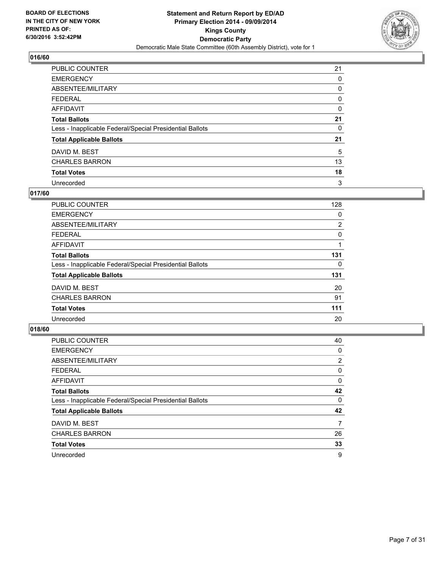

| PUBLIC COUNTER                                           | 21 |
|----------------------------------------------------------|----|
| <b>EMERGENCY</b>                                         | 0  |
| ABSENTEE/MILITARY                                        | 0  |
| <b>FEDERAL</b>                                           | 0  |
| <b>AFFIDAVIT</b>                                         | 0  |
| <b>Total Ballots</b>                                     | 21 |
| Less - Inapplicable Federal/Special Presidential Ballots | 0  |
| <b>Total Applicable Ballots</b>                          | 21 |
| DAVID M. BEST                                            | 5  |
| <b>CHARLES BARRON</b>                                    | 13 |
| <b>Total Votes</b>                                       | 18 |
| Unrecorded                                               | 3  |

#### **017/60**

| PUBLIC COUNTER                                           | 128 |
|----------------------------------------------------------|-----|
| <b>EMERGENCY</b>                                         | 0   |
| ABSENTEE/MILITARY                                        | 2   |
| <b>FEDERAL</b>                                           | 0   |
| AFFIDAVIT                                                |     |
| <b>Total Ballots</b>                                     | 131 |
| Less - Inapplicable Federal/Special Presidential Ballots | 0   |
| <b>Total Applicable Ballots</b>                          | 131 |
| DAVID M. BEST                                            | 20  |
| <b>CHARLES BARRON</b>                                    | 91  |
| <b>Total Votes</b>                                       | 111 |
| Unrecorded                                               | 20  |
|                                                          |     |

| PUBLIC COUNTER                                           | 40             |
|----------------------------------------------------------|----------------|
| <b>EMERGENCY</b>                                         | 0              |
| ABSENTEE/MILITARY                                        | $\overline{2}$ |
| <b>FEDERAL</b>                                           | 0              |
| <b>AFFIDAVIT</b>                                         | 0              |
| <b>Total Ballots</b>                                     | 42             |
| Less - Inapplicable Federal/Special Presidential Ballots | 0              |
| <b>Total Applicable Ballots</b>                          | 42             |
| DAVID M. BEST                                            | 7              |
| <b>CHARLES BARRON</b>                                    | 26             |
| <b>Total Votes</b>                                       | 33             |
| Unrecorded                                               | 9              |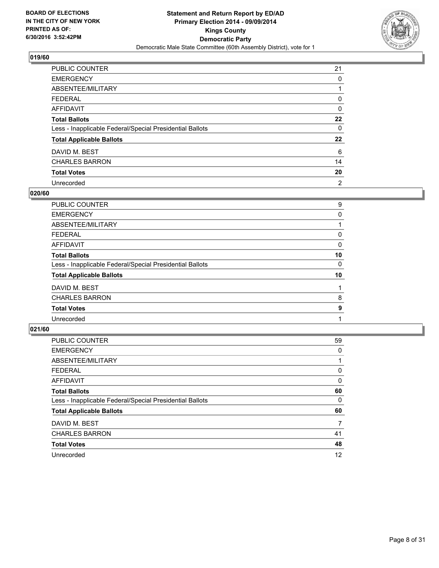

| PUBLIC COUNTER                                           | 21             |
|----------------------------------------------------------|----------------|
| <b>EMERGENCY</b>                                         | 0              |
| ABSENTEE/MILITARY                                        |                |
| <b>FEDERAL</b>                                           | 0              |
| <b>AFFIDAVIT</b>                                         | 0              |
| <b>Total Ballots</b>                                     | 22             |
| Less - Inapplicable Federal/Special Presidential Ballots | 0              |
| <b>Total Applicable Ballots</b>                          | 22             |
| DAVID M. BEST                                            | 6              |
| <b>CHARLES BARRON</b>                                    | 14             |
| <b>Total Votes</b>                                       | 20             |
| Unrecorded                                               | $\overline{2}$ |

#### **020/60**

| PUBLIC COUNTER                                           | 9  |
|----------------------------------------------------------|----|
| <b>EMERGENCY</b>                                         | 0  |
| ABSENTEE/MILITARY                                        |    |
| <b>FEDERAL</b>                                           | 0  |
| <b>AFFIDAVIT</b>                                         | 0  |
| <b>Total Ballots</b>                                     | 10 |
| Less - Inapplicable Federal/Special Presidential Ballots | 0  |
| <b>Total Applicable Ballots</b>                          | 10 |
| DAVID M. BEST                                            |    |
| <b>CHARLES BARRON</b>                                    | 8  |
| <b>Total Votes</b>                                       | 9  |
| Unrecorded                                               |    |
|                                                          |    |

| PUBLIC COUNTER                                           | 59 |
|----------------------------------------------------------|----|
| <b>EMERGENCY</b>                                         | 0  |
| ABSENTEE/MILITARY                                        |    |
| <b>FEDERAL</b>                                           | 0  |
| <b>AFFIDAVIT</b>                                         | 0  |
| <b>Total Ballots</b>                                     | 60 |
| Less - Inapplicable Federal/Special Presidential Ballots | 0  |
| <b>Total Applicable Ballots</b>                          | 60 |
| DAVID M. BEST                                            | 7  |
| <b>CHARLES BARRON</b>                                    | 41 |
| <b>Total Votes</b>                                       | 48 |
| Unrecorded                                               | 12 |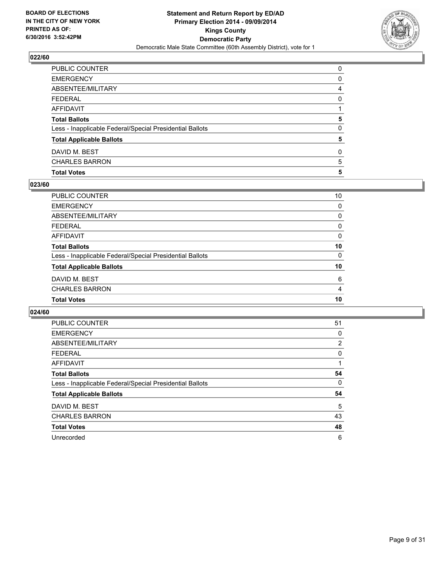

| <b>Total Votes</b>                                       | 5 |
|----------------------------------------------------------|---|
| <b>CHARLES BARRON</b>                                    | 5 |
| DAVID M. BEST                                            | 0 |
| <b>Total Applicable Ballots</b>                          | 5 |
| Less - Inapplicable Federal/Special Presidential Ballots | 0 |
| <b>Total Ballots</b>                                     | 5 |
| <b>AFFIDAVIT</b>                                         |   |
| <b>FEDERAL</b>                                           | 0 |
| ABSENTEE/MILITARY                                        | 4 |
| <b>EMERGENCY</b>                                         | 0 |
| PUBLIC COUNTER                                           | 0 |

## **023/60**

| PUBLIC COUNTER                                           | 10 |
|----------------------------------------------------------|----|
| <b>EMERGENCY</b>                                         | 0  |
| <b>ABSENTEE/MILITARY</b>                                 | 0  |
| <b>FEDERAL</b>                                           | 0  |
| <b>AFFIDAVIT</b>                                         | 0  |
| <b>Total Ballots</b>                                     | 10 |
| Less - Inapplicable Federal/Special Presidential Ballots | 0  |
| <b>Total Applicable Ballots</b>                          | 10 |
| DAVID M. BEST                                            | 6  |
| <b>CHARLES BARRON</b>                                    | 4  |
| <b>Total Votes</b>                                       | 10 |

| PUBLIC COUNTER                                           | 51 |
|----------------------------------------------------------|----|
| <b>EMERGENCY</b>                                         | 0  |
| ABSENTEE/MILITARY                                        | 2  |
| <b>FEDERAL</b>                                           | 0  |
| AFFIDAVIT                                                |    |
| <b>Total Ballots</b>                                     | 54 |
| Less - Inapplicable Federal/Special Presidential Ballots | 0  |
| <b>Total Applicable Ballots</b>                          | 54 |
| DAVID M. BEST                                            | 5  |
| <b>CHARLES BARRON</b>                                    | 43 |
| <b>Total Votes</b>                                       | 48 |
| Unrecorded                                               | 6  |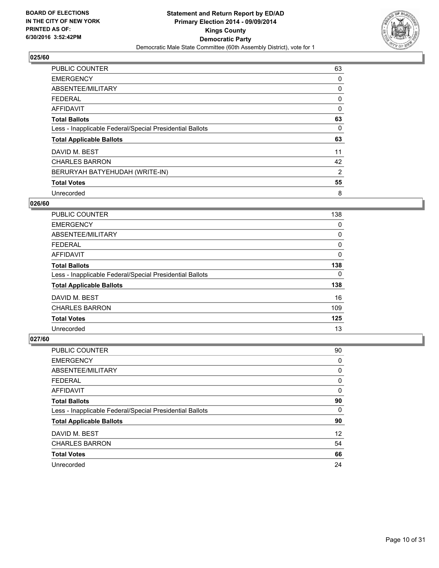

| <b>PUBLIC COUNTER</b>                                    | 63 |
|----------------------------------------------------------|----|
| <b>EMERGENCY</b>                                         | 0  |
| ABSENTEE/MILITARY                                        | 0  |
| <b>FEDERAL</b>                                           | 0  |
| <b>AFFIDAVIT</b>                                         | 0  |
| <b>Total Ballots</b>                                     | 63 |
| Less - Inapplicable Federal/Special Presidential Ballots | 0  |
| <b>Total Applicable Ballots</b>                          | 63 |
| DAVID M. BEST                                            | 11 |
| <b>CHARLES BARRON</b>                                    | 42 |
| BERURYAH BATYEHUDAH (WRITE-IN)                           | 2  |
| <b>Total Votes</b>                                       | 55 |
| Unrecorded                                               | 8  |

#### **026/60**

| <b>PUBLIC COUNTER</b>                                    | 138 |
|----------------------------------------------------------|-----|
| <b>EMERGENCY</b>                                         | 0   |
| ABSENTEE/MILITARY                                        | 0   |
| <b>FEDERAL</b>                                           | 0   |
| <b>AFFIDAVIT</b>                                         | 0   |
| <b>Total Ballots</b>                                     | 138 |
| Less - Inapplicable Federal/Special Presidential Ballots | 0   |
| <b>Total Applicable Ballots</b>                          | 138 |
| DAVID M. BEST                                            | 16  |
| <b>CHARLES BARRON</b>                                    | 109 |
| <b>Total Votes</b>                                       | 125 |
| Unrecorded                                               | 13  |

| PUBLIC COUNTER                                           | 90 |
|----------------------------------------------------------|----|
| <b>EMERGENCY</b>                                         | 0  |
| ABSENTEE/MILITARY                                        | 0  |
| <b>FEDERAL</b>                                           | 0  |
| <b>AFFIDAVIT</b>                                         | 0  |
| <b>Total Ballots</b>                                     | 90 |
| Less - Inapplicable Federal/Special Presidential Ballots | 0  |
| <b>Total Applicable Ballots</b>                          | 90 |
| DAVID M. BEST                                            | 12 |
| <b>CHARLES BARRON</b>                                    | 54 |
| <b>Total Votes</b>                                       | 66 |
| Unrecorded                                               | 24 |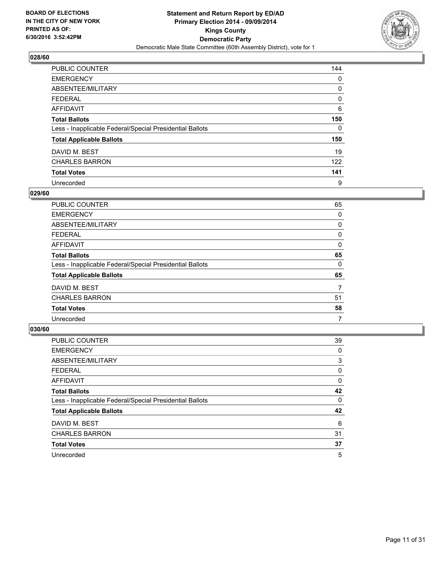

| <b>PUBLIC COUNTER</b>                                    | 144 |
|----------------------------------------------------------|-----|
| <b>EMERGENCY</b>                                         | 0   |
| ABSENTEE/MILITARY                                        | 0   |
| <b>FEDERAL</b>                                           | 0   |
| AFFIDAVIT                                                | 6   |
| <b>Total Ballots</b>                                     | 150 |
| Less - Inapplicable Federal/Special Presidential Ballots | 0   |
| <b>Total Applicable Ballots</b>                          | 150 |
| DAVID M. BEST                                            | 19  |
| <b>CHARLES BARRON</b>                                    | 122 |
| <b>Total Votes</b>                                       | 141 |
| Unrecorded                                               | 9   |

#### **029/60**

| 65 |
|----|
| 0  |
| 0  |
| 0  |
| 0  |
| 65 |
| 0  |
| 65 |
| 7  |
| 51 |
| 58 |
| 7  |
|    |

| PUBLIC COUNTER                                           | 39 |
|----------------------------------------------------------|----|
| <b>EMERGENCY</b>                                         | 0  |
| ABSENTEE/MILITARY                                        | 3  |
| <b>FEDERAL</b>                                           | 0  |
| <b>AFFIDAVIT</b>                                         | 0  |
| <b>Total Ballots</b>                                     | 42 |
| Less - Inapplicable Federal/Special Presidential Ballots | 0  |
| <b>Total Applicable Ballots</b>                          | 42 |
| DAVID M. BEST                                            | 6  |
| <b>CHARLES BARRON</b>                                    | 31 |
| <b>Total Votes</b>                                       | 37 |
| Unrecorded                                               | 5  |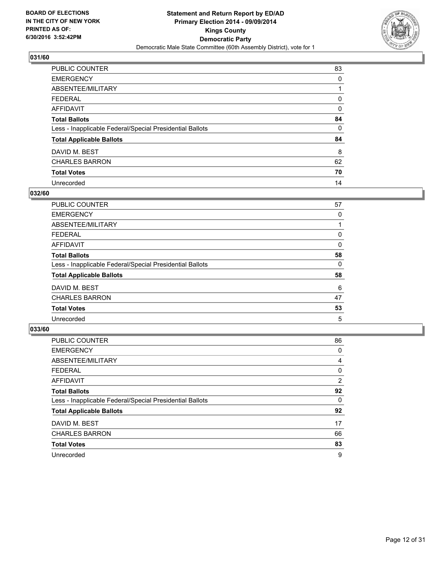

| PUBLIC COUNTER                                           | 83 |
|----------------------------------------------------------|----|
| <b>EMERGENCY</b>                                         | 0  |
| ABSENTEE/MILITARY                                        |    |
| <b>FEDERAL</b>                                           | 0  |
| <b>AFFIDAVIT</b>                                         | 0  |
| <b>Total Ballots</b>                                     | 84 |
| Less - Inapplicable Federal/Special Presidential Ballots | 0  |
| <b>Total Applicable Ballots</b>                          | 84 |
| DAVID M. BEST                                            | 8  |
| <b>CHARLES BARRON</b>                                    | 62 |
| <b>Total Votes</b>                                       | 70 |
| Unrecorded                                               | 14 |

#### **032/60**

| <b>PUBLIC COUNTER</b>                                    | 57 |
|----------------------------------------------------------|----|
| <b>EMERGENCY</b>                                         | 0  |
| ABSENTEE/MILITARY                                        |    |
| <b>FEDERAL</b>                                           | 0  |
| <b>AFFIDAVIT</b>                                         | 0  |
| <b>Total Ballots</b>                                     | 58 |
| Less - Inapplicable Federal/Special Presidential Ballots | 0  |
| <b>Total Applicable Ballots</b>                          | 58 |
| DAVID M. BEST                                            | 6  |
| <b>CHARLES BARRON</b>                                    | 47 |
| <b>Total Votes</b>                                       | 53 |
| Unrecorded                                               | 5  |

| PUBLIC COUNTER                                           | 86             |
|----------------------------------------------------------|----------------|
| <b>EMERGENCY</b>                                         | 0              |
| ABSENTEE/MILITARY                                        | 4              |
| <b>FEDERAL</b>                                           | 0              |
| <b>AFFIDAVIT</b>                                         | $\overline{2}$ |
| <b>Total Ballots</b>                                     | 92             |
| Less - Inapplicable Federal/Special Presidential Ballots | 0              |
| <b>Total Applicable Ballots</b>                          | 92             |
| DAVID M. BEST                                            | 17             |
| <b>CHARLES BARRON</b>                                    | 66             |
| <b>Total Votes</b>                                       | 83             |
| Unrecorded                                               | 9              |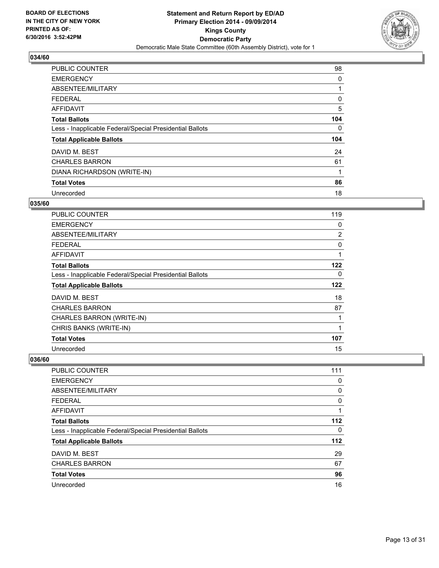

| <b>PUBLIC COUNTER</b>                                    | 98  |
|----------------------------------------------------------|-----|
| <b>EMERGENCY</b>                                         | 0   |
| ABSENTEE/MILITARY                                        |     |
| <b>FEDERAL</b>                                           | 0   |
| <b>AFFIDAVIT</b>                                         | 5   |
| <b>Total Ballots</b>                                     | 104 |
| Less - Inapplicable Federal/Special Presidential Ballots | 0   |
| <b>Total Applicable Ballots</b>                          | 104 |
| DAVID M. BEST                                            | 24  |
| <b>CHARLES BARRON</b>                                    | 61  |
| DIANA RICHARDSON (WRITE-IN)                              | 1   |
| <b>Total Votes</b>                                       | 86  |
| Unrecorded                                               | 18  |

# **035/60**

| <b>PUBLIC COUNTER</b>                                    | 119          |
|----------------------------------------------------------|--------------|
| <b>EMERGENCY</b>                                         | 0            |
| ABSENTEE/MILITARY                                        | 2            |
| FEDERAL                                                  | 0            |
| AFFIDAVIT                                                | 1            |
| <b>Total Ballots</b>                                     | 122          |
| Less - Inapplicable Federal/Special Presidential Ballots | 0            |
| <b>Total Applicable Ballots</b>                          | 122          |
| DAVID M. BEST                                            | 18           |
| <b>CHARLES BARRON</b>                                    | 87           |
| CHARLES BARRON (WRITE-IN)                                | 1            |
| CHRIS BANKS (WRITE-IN)                                   | $\mathbf{1}$ |
| <b>Total Votes</b>                                       | 107          |
| Unrecorded                                               | 15           |

| <b>PUBLIC COUNTER</b>                                    | 111   |
|----------------------------------------------------------|-------|
| <b>EMERGENCY</b>                                         | 0     |
| ABSENTEE/MILITARY                                        | 0     |
| FEDERAL                                                  | 0     |
| AFFIDAVIT                                                |       |
| <b>Total Ballots</b>                                     | 112   |
| Less - Inapplicable Federal/Special Presidential Ballots | 0     |
| <b>Total Applicable Ballots</b>                          | $112$ |
| DAVID M. BEST                                            | 29    |
| <b>CHARLES BARRON</b>                                    | 67    |
| <b>Total Votes</b>                                       | 96    |
| Unrecorded                                               | 16    |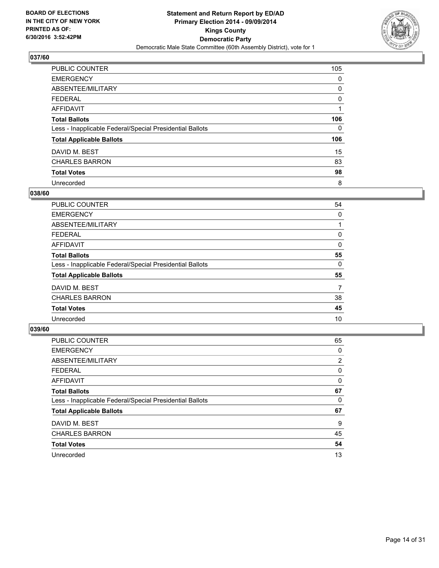

| <b>PUBLIC COUNTER</b>                                    | 105 |
|----------------------------------------------------------|-----|
| <b>EMERGENCY</b>                                         | 0   |
| ABSENTEE/MILITARY                                        | 0   |
| <b>FEDERAL</b>                                           | 0   |
| <b>AFFIDAVIT</b>                                         |     |
| <b>Total Ballots</b>                                     | 106 |
| Less - Inapplicable Federal/Special Presidential Ballots | 0   |
| <b>Total Applicable Ballots</b>                          | 106 |
| DAVID M. BEST                                            | 15  |
| <b>CHARLES BARRON</b>                                    | 83  |
| <b>Total Votes</b>                                       | 98  |
| Unrecorded                                               | 8   |

#### **038/60**

| <b>PUBLIC COUNTER</b>                                    | 54 |
|----------------------------------------------------------|----|
| <b>EMERGENCY</b>                                         | 0  |
| ABSENTEE/MILITARY                                        |    |
| <b>FEDERAL</b>                                           | 0  |
| <b>AFFIDAVIT</b>                                         | 0  |
| <b>Total Ballots</b>                                     | 55 |
| Less - Inapplicable Federal/Special Presidential Ballots | 0  |
| <b>Total Applicable Ballots</b>                          | 55 |
| DAVID M. BEST                                            | 7  |
| <b>CHARLES BARRON</b>                                    | 38 |
| <b>Total Votes</b>                                       | 45 |
| Unrecorded                                               | 10 |
|                                                          |    |

| PUBLIC COUNTER                                           | 65             |
|----------------------------------------------------------|----------------|
| <b>EMERGENCY</b>                                         | 0              |
| ABSENTEE/MILITARY                                        | $\overline{2}$ |
| <b>FEDERAL</b>                                           | 0              |
| AFFIDAVIT                                                | 0              |
| <b>Total Ballots</b>                                     | 67             |
| Less - Inapplicable Federal/Special Presidential Ballots | 0              |
| <b>Total Applicable Ballots</b>                          | 67             |
| DAVID M. BEST                                            | 9              |
| <b>CHARLES BARRON</b>                                    | 45             |
| <b>Total Votes</b>                                       | 54             |
| Unrecorded                                               | 13             |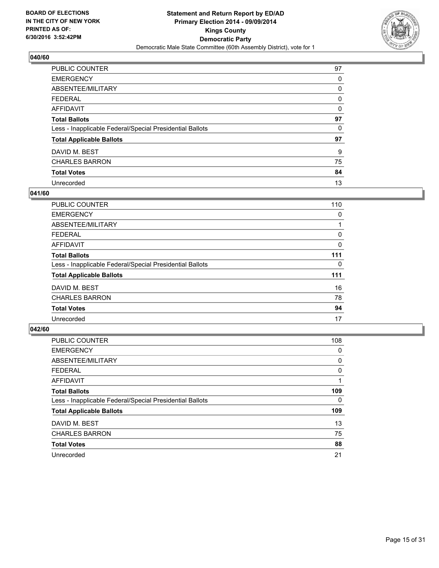

| <b>PUBLIC COUNTER</b>                                    | 97 |
|----------------------------------------------------------|----|
| <b>EMERGENCY</b>                                         | 0  |
| ABSENTEE/MILITARY                                        | 0  |
| <b>FEDERAL</b>                                           | 0  |
| AFFIDAVIT                                                | 0  |
| <b>Total Ballots</b>                                     | 97 |
| Less - Inapplicable Federal/Special Presidential Ballots | 0  |
| <b>Total Applicable Ballots</b>                          | 97 |
| DAVID M. BEST                                            | 9  |
| <b>CHARLES BARRON</b>                                    | 75 |
| <b>Total Votes</b>                                       | 84 |
| Unrecorded                                               | 13 |

#### **041/60**

| <b>PUBLIC COUNTER</b>                                    | 110 |
|----------------------------------------------------------|-----|
| <b>EMERGENCY</b>                                         | 0   |
| ABSENTEE/MILITARY                                        |     |
| <b>FEDERAL</b>                                           | 0   |
| AFFIDAVIT                                                | 0   |
| <b>Total Ballots</b>                                     | 111 |
| Less - Inapplicable Federal/Special Presidential Ballots | 0   |
| <b>Total Applicable Ballots</b>                          | 111 |
| DAVID M. BEST                                            | 16  |
| <b>CHARLES BARRON</b>                                    | 78  |
| <b>Total Votes</b>                                       | 94  |
| Unrecorded                                               | 17  |

| PUBLIC COUNTER                                           | 108 |
|----------------------------------------------------------|-----|
| <b>EMERGENCY</b>                                         | 0   |
| ABSENTEE/MILITARY                                        | 0   |
| <b>FEDERAL</b>                                           | 0   |
| AFFIDAVIT                                                |     |
| <b>Total Ballots</b>                                     | 109 |
| Less - Inapplicable Federal/Special Presidential Ballots | 0   |
| <b>Total Applicable Ballots</b>                          | 109 |
| DAVID M. BEST                                            | 13  |
| <b>CHARLES BARRON</b>                                    | 75  |
| <b>Total Votes</b>                                       | 88  |
| Unrecorded                                               | 21  |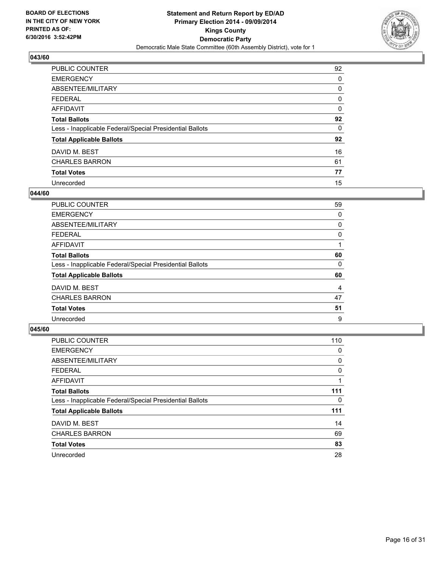

| <b>PUBLIC COUNTER</b>                                    | 92 |
|----------------------------------------------------------|----|
| <b>EMERGENCY</b>                                         | 0  |
| ABSENTEE/MILITARY                                        | 0  |
| <b>FEDERAL</b>                                           | 0  |
| <b>AFFIDAVIT</b>                                         | 0  |
| <b>Total Ballots</b>                                     | 92 |
| Less - Inapplicable Federal/Special Presidential Ballots | 0  |
| <b>Total Applicable Ballots</b>                          | 92 |
| DAVID M. BEST                                            | 16 |
| <b>CHARLES BARRON</b>                                    | 61 |
| <b>Total Votes</b>                                       | 77 |
| Unrecorded                                               | 15 |

#### **044/60**

| <b>PUBLIC COUNTER</b>                                    | 59 |
|----------------------------------------------------------|----|
| <b>EMERGENCY</b>                                         | 0  |
| ABSENTEE/MILITARY                                        | 0  |
| <b>FEDERAL</b>                                           | 0  |
| AFFIDAVIT                                                |    |
| <b>Total Ballots</b>                                     | 60 |
| Less - Inapplicable Federal/Special Presidential Ballots | 0  |
| <b>Total Applicable Ballots</b>                          | 60 |
| DAVID M. BEST                                            | 4  |
| <b>CHARLES BARRON</b>                                    | 47 |
| <b>Total Votes</b>                                       | 51 |
| Unrecorded                                               | 9  |

| PUBLIC COUNTER                                           | 110 |
|----------------------------------------------------------|-----|
| <b>EMERGENCY</b>                                         | 0   |
| ABSENTEE/MILITARY                                        | 0   |
| <b>FEDERAL</b>                                           | 0   |
| AFFIDAVIT                                                |     |
| <b>Total Ballots</b>                                     | 111 |
| Less - Inapplicable Federal/Special Presidential Ballots | 0   |
| <b>Total Applicable Ballots</b>                          | 111 |
| DAVID M. BEST                                            | 14  |
| <b>CHARLES BARRON</b>                                    | 69  |
| <b>Total Votes</b>                                       | 83  |
| Unrecorded                                               | 28  |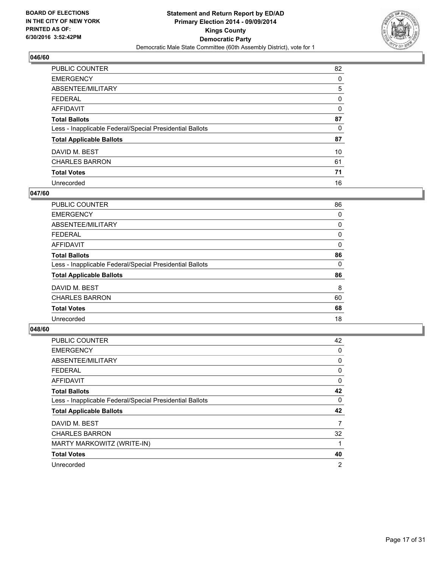

| <b>PUBLIC COUNTER</b>                                    | 82 |
|----------------------------------------------------------|----|
| <b>EMERGENCY</b>                                         | 0  |
| ABSENTEE/MILITARY                                        | 5  |
| <b>FEDERAL</b>                                           | 0  |
| <b>AFFIDAVIT</b>                                         | 0  |
| <b>Total Ballots</b>                                     | 87 |
| Less - Inapplicable Federal/Special Presidential Ballots | 0  |
| <b>Total Applicable Ballots</b>                          | 87 |
| DAVID M. BEST                                            | 10 |
| <b>CHARLES BARRON</b>                                    | 61 |
| <b>Total Votes</b>                                       | 71 |
| Unrecorded                                               | 16 |

#### **047/60**

| <b>PUBLIC COUNTER</b>                                    | 86       |
|----------------------------------------------------------|----------|
| <b>EMERGENCY</b>                                         | 0        |
| ABSENTEE/MILITARY                                        | 0        |
| <b>FEDERAL</b>                                           | 0        |
| AFFIDAVIT                                                | 0        |
| <b>Total Ballots</b>                                     | 86       |
| Less - Inapplicable Federal/Special Presidential Ballots | $\Omega$ |
| <b>Total Applicable Ballots</b>                          | 86       |
| DAVID M. BEST                                            | 8        |
| <b>CHARLES BARRON</b>                                    | 60       |
| <b>Total Votes</b>                                       | 68       |
| Unrecorded                                               | 18       |

| <b>PUBLIC COUNTER</b>                                    | 42             |
|----------------------------------------------------------|----------------|
| <b>EMERGENCY</b>                                         | 0              |
| ABSENTEE/MILITARY                                        | 0              |
| <b>FEDERAL</b>                                           | 0              |
| <b>AFFIDAVIT</b>                                         | 0              |
| <b>Total Ballots</b>                                     | 42             |
| Less - Inapplicable Federal/Special Presidential Ballots | 0              |
| <b>Total Applicable Ballots</b>                          | 42             |
| DAVID M. BEST                                            | 7              |
| <b>CHARLES BARRON</b>                                    | 32             |
| MARTY MARKOWITZ (WRITE-IN)                               | 1              |
| <b>Total Votes</b>                                       | 40             |
| Unrecorded                                               | $\overline{2}$ |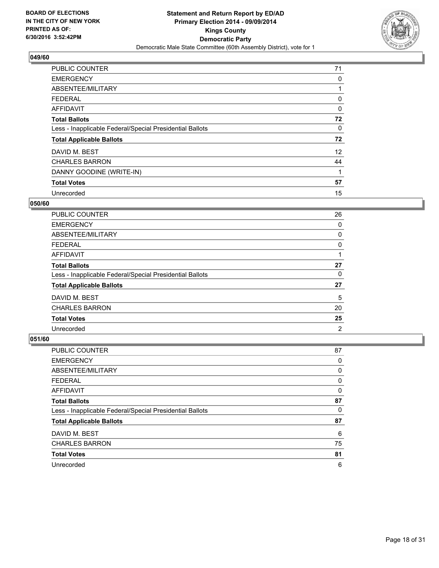

| PUBLIC COUNTER                                           | 71 |
|----------------------------------------------------------|----|
| <b>EMERGENCY</b>                                         | 0  |
| ABSENTEE/MILITARY                                        | 1  |
| <b>FEDERAL</b>                                           | 0  |
| <b>AFFIDAVIT</b>                                         | 0  |
| <b>Total Ballots</b>                                     | 72 |
| Less - Inapplicable Federal/Special Presidential Ballots | 0  |
| <b>Total Applicable Ballots</b>                          | 72 |
| DAVID M. BEST                                            | 12 |
| <b>CHARLES BARRON</b>                                    | 44 |
| DANNY GOODINE (WRITE-IN)                                 | 1  |
| <b>Total Votes</b>                                       | 57 |
| Unrecorded                                               | 15 |

#### **050/60**

| <b>PUBLIC COUNTER</b>                                    | 26             |
|----------------------------------------------------------|----------------|
| <b>EMERGENCY</b>                                         | 0              |
| ABSENTEE/MILITARY                                        | 0              |
| <b>FEDERAL</b>                                           | 0              |
| AFFIDAVIT                                                |                |
| <b>Total Ballots</b>                                     | 27             |
| Less - Inapplicable Federal/Special Presidential Ballots | 0              |
| <b>Total Applicable Ballots</b>                          | 27             |
| DAVID M. BEST                                            | 5              |
| <b>CHARLES BARRON</b>                                    | 20             |
| <b>Total Votes</b>                                       | 25             |
| Unrecorded                                               | $\overline{2}$ |

| <b>PUBLIC COUNTER</b>                                    | 87 |
|----------------------------------------------------------|----|
| <b>EMERGENCY</b>                                         | 0  |
| ABSENTEE/MILITARY                                        | 0  |
| <b>FEDERAL</b>                                           | 0  |
| AFFIDAVIT                                                | 0  |
| <b>Total Ballots</b>                                     | 87 |
| Less - Inapplicable Federal/Special Presidential Ballots | 0  |
| <b>Total Applicable Ballots</b>                          | 87 |
| DAVID M. BEST                                            | 6  |
| <b>CHARLES BARRON</b>                                    | 75 |
| <b>Total Votes</b>                                       | 81 |
| Unrecorded                                               | 6  |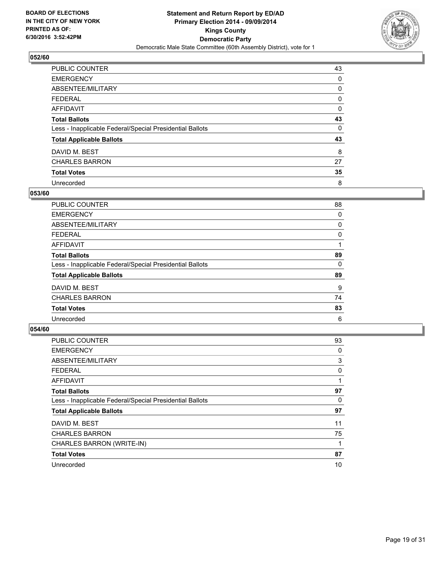

| <b>PUBLIC COUNTER</b>                                    | 43 |
|----------------------------------------------------------|----|
| <b>EMERGENCY</b>                                         | 0  |
| ABSENTEE/MILITARY                                        | 0  |
| <b>FEDERAL</b>                                           | 0  |
| <b>AFFIDAVIT</b>                                         | 0  |
| <b>Total Ballots</b>                                     | 43 |
| Less - Inapplicable Federal/Special Presidential Ballots | 0  |
| <b>Total Applicable Ballots</b>                          | 43 |
| DAVID M. BEST                                            | 8  |
| <b>CHARLES BARRON</b>                                    | 27 |
| <b>Total Votes</b>                                       | 35 |
| Unrecorded                                               | 8  |

#### **053/60**

| <b>PUBLIC COUNTER</b>                                    | 88 |
|----------------------------------------------------------|----|
| <b>EMERGENCY</b>                                         | 0  |
| ABSENTEE/MILITARY                                        | 0  |
| <b>FEDERAL</b>                                           | 0  |
| <b>AFFIDAVIT</b>                                         |    |
| <b>Total Ballots</b>                                     | 89 |
| Less - Inapplicable Federal/Special Presidential Ballots | 0  |
| <b>Total Applicable Ballots</b>                          | 89 |
| DAVID M. BEST                                            | 9  |
| <b>CHARLES BARRON</b>                                    | 74 |
| <b>Total Votes</b>                                       | 83 |
| Unrecorded                                               | 6  |

| <b>PUBLIC COUNTER</b>                                    | 93 |
|----------------------------------------------------------|----|
| <b>EMERGENCY</b>                                         | 0  |
| ABSENTEE/MILITARY                                        | 3  |
| <b>FEDERAL</b>                                           | 0  |
| <b>AFFIDAVIT</b>                                         |    |
| <b>Total Ballots</b>                                     | 97 |
| Less - Inapplicable Federal/Special Presidential Ballots | 0  |
| <b>Total Applicable Ballots</b>                          | 97 |
| DAVID M. BEST                                            | 11 |
| <b>CHARLES BARRON</b>                                    | 75 |
| CHARLES BARRON (WRITE-IN)                                |    |
| <b>Total Votes</b>                                       | 87 |
| Unrecorded                                               | 10 |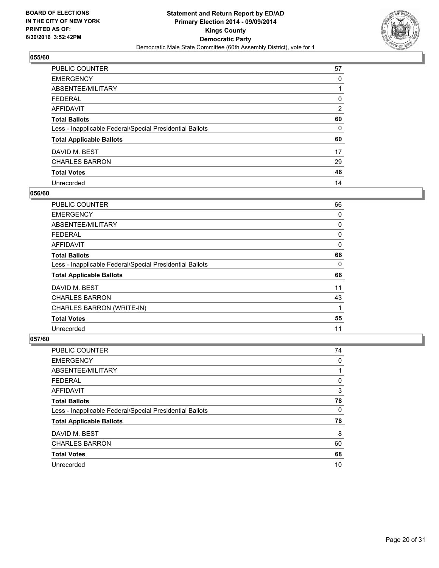

| <b>PUBLIC COUNTER</b>                                    | 57             |
|----------------------------------------------------------|----------------|
| <b>EMERGENCY</b>                                         | 0              |
| ABSENTEE/MILITARY                                        |                |
| <b>FEDERAL</b>                                           | 0              |
| <b>AFFIDAVIT</b>                                         | $\overline{2}$ |
| <b>Total Ballots</b>                                     | 60             |
| Less - Inapplicable Federal/Special Presidential Ballots | 0              |
| <b>Total Applicable Ballots</b>                          | 60             |
| DAVID M. BEST                                            | 17             |
| <b>CHARLES BARRON</b>                                    | 29             |
| <b>Total Votes</b>                                       | 46             |
| Unrecorded                                               | 14             |

#### **056/60**

| <b>PUBLIC COUNTER</b>                                    | 66 |
|----------------------------------------------------------|----|
| <b>EMERGENCY</b>                                         | 0  |
| ABSENTEE/MILITARY                                        | 0  |
| <b>FEDERAL</b>                                           | 0  |
| AFFIDAVIT                                                | 0  |
| <b>Total Ballots</b>                                     | 66 |
| Less - Inapplicable Federal/Special Presidential Ballots | 0  |
| <b>Total Applicable Ballots</b>                          | 66 |
| DAVID M. BEST                                            | 11 |
| <b>CHARLES BARRON</b>                                    | 43 |
| CHARLES BARRON (WRITE-IN)                                | 1  |
| <b>Total Votes</b>                                       | 55 |
| Unrecorded                                               | 11 |

| <b>PUBLIC COUNTER</b>                                    | 74 |
|----------------------------------------------------------|----|
| <b>EMERGENCY</b>                                         | 0  |
| ABSENTEE/MILITARY                                        |    |
| <b>FEDERAL</b>                                           | 0  |
| AFFIDAVIT                                                | 3  |
| <b>Total Ballots</b>                                     | 78 |
| Less - Inapplicable Federal/Special Presidential Ballots | 0  |
| <b>Total Applicable Ballots</b>                          | 78 |
| DAVID M. BEST                                            | 8  |
| <b>CHARLES BARRON</b>                                    | 60 |
| <b>Total Votes</b>                                       | 68 |
| Unrecorded                                               | 10 |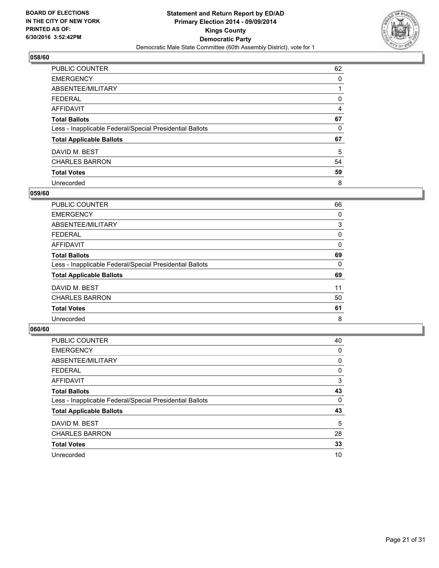

| <b>PUBLIC COUNTER</b>                                    | 62 |
|----------------------------------------------------------|----|
| <b>EMERGENCY</b>                                         | 0  |
| ABSENTEE/MILITARY                                        |    |
| <b>FEDERAL</b>                                           | 0  |
| <b>AFFIDAVIT</b>                                         | 4  |
| <b>Total Ballots</b>                                     | 67 |
| Less - Inapplicable Federal/Special Presidential Ballots | 0  |
| <b>Total Applicable Ballots</b>                          | 67 |
| DAVID M. BEST                                            | 5  |
| <b>CHARLES BARRON</b>                                    | 54 |
| <b>Total Votes</b>                                       | 59 |
| Unrecorded                                               | 8  |

#### **059/60**

| <b>PUBLIC COUNTER</b>                                    | 66 |
|----------------------------------------------------------|----|
| <b>EMERGENCY</b>                                         | 0  |
| ABSENTEE/MILITARY                                        | 3  |
| <b>FEDERAL</b>                                           | 0  |
| <b>AFFIDAVIT</b>                                         | 0  |
| <b>Total Ballots</b>                                     | 69 |
| Less - Inapplicable Federal/Special Presidential Ballots | 0  |
| <b>Total Applicable Ballots</b>                          | 69 |
| DAVID M. BEST                                            | 11 |
| <b>CHARLES BARRON</b>                                    | 50 |
| <b>Total Votes</b>                                       | 61 |
| Unrecorded                                               | 8  |

| <b>PUBLIC COUNTER</b>                                    | 40 |
|----------------------------------------------------------|----|
| <b>EMERGENCY</b>                                         | 0  |
| ABSENTEE/MILITARY                                        | 0  |
| <b>FEDERAL</b>                                           | 0  |
| <b>AFFIDAVIT</b>                                         | 3  |
| <b>Total Ballots</b>                                     | 43 |
| Less - Inapplicable Federal/Special Presidential Ballots | 0  |
| <b>Total Applicable Ballots</b>                          | 43 |
| DAVID M. BEST                                            | 5  |
| <b>CHARLES BARRON</b>                                    | 28 |
| <b>Total Votes</b>                                       | 33 |
| Unrecorded                                               | 10 |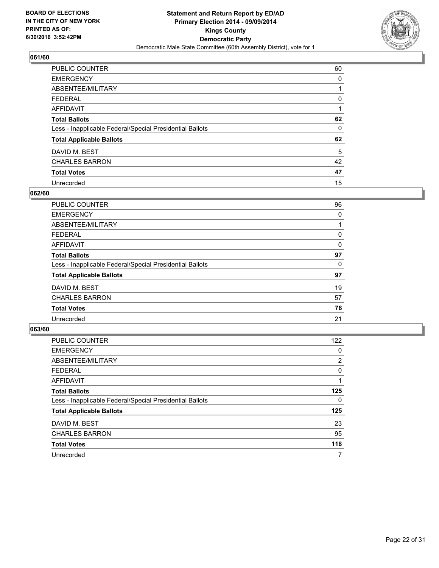

| <b>PUBLIC COUNTER</b>                                    | 60 |
|----------------------------------------------------------|----|
| <b>EMERGENCY</b>                                         | 0  |
| ABSENTEE/MILITARY                                        |    |
| <b>FEDERAL</b>                                           | 0  |
| <b>AFFIDAVIT</b>                                         |    |
| <b>Total Ballots</b>                                     | 62 |
| Less - Inapplicable Federal/Special Presidential Ballots | 0  |
| <b>Total Applicable Ballots</b>                          | 62 |
| DAVID M. BEST                                            | 5  |
| <b>CHARLES BARRON</b>                                    | 42 |
| <b>Total Votes</b>                                       | 47 |
| Unrecorded                                               | 15 |

#### **062/60**

| <b>PUBLIC COUNTER</b>                                    | 96 |
|----------------------------------------------------------|----|
| <b>EMERGENCY</b>                                         | 0  |
| ABSENTEE/MILITARY                                        |    |
| <b>FEDERAL</b>                                           | 0  |
| <b>AFFIDAVIT</b>                                         | 0  |
| <b>Total Ballots</b>                                     | 97 |
| Less - Inapplicable Federal/Special Presidential Ballots | 0  |
| <b>Total Applicable Ballots</b>                          | 97 |
| DAVID M. BEST                                            | 19 |
| <b>CHARLES BARRON</b>                                    | 57 |
| <b>Total Votes</b>                                       | 76 |
| Unrecorded                                               | 21 |

| <b>PUBLIC COUNTER</b>                                    | 122            |
|----------------------------------------------------------|----------------|
| <b>EMERGENCY</b>                                         | 0              |
| ABSENTEE/MILITARY                                        | $\overline{2}$ |
| <b>FEDERAL</b>                                           | 0              |
| <b>AFFIDAVIT</b>                                         |                |
| <b>Total Ballots</b>                                     | 125            |
| Less - Inapplicable Federal/Special Presidential Ballots | 0              |
| <b>Total Applicable Ballots</b>                          | 125            |
| DAVID M. BEST                                            | 23             |
| <b>CHARLES BARRON</b>                                    | 95             |
| <b>Total Votes</b>                                       | 118            |
| Unrecorded                                               | 7              |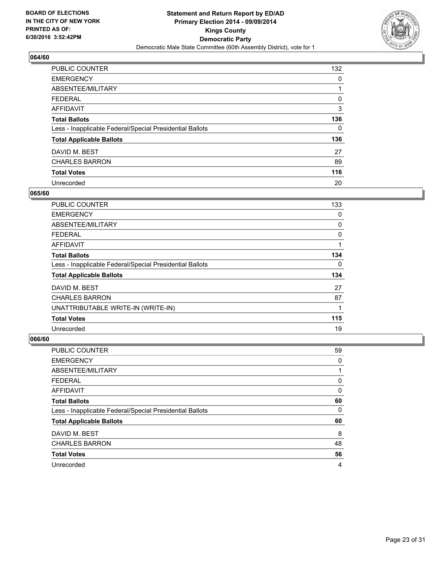

| <b>PUBLIC COUNTER</b>                                    | 132 |
|----------------------------------------------------------|-----|
| <b>EMERGENCY</b>                                         | 0   |
| ABSENTEE/MILITARY                                        |     |
| <b>FEDERAL</b>                                           | 0   |
| AFFIDAVIT                                                | 3   |
| <b>Total Ballots</b>                                     | 136 |
| Less - Inapplicable Federal/Special Presidential Ballots | 0   |
| <b>Total Applicable Ballots</b>                          | 136 |
| DAVID M. BEST                                            | 27  |
| <b>CHARLES BARRON</b>                                    | 89  |
| <b>Total Votes</b>                                       | 116 |
| Unrecorded                                               | 20  |

#### **065/60**

| <b>PUBLIC COUNTER</b>                                    | 133 |
|----------------------------------------------------------|-----|
| <b>EMERGENCY</b>                                         | 0   |
| ABSENTEE/MILITARY                                        | 0   |
| <b>FEDERAL</b>                                           | 0   |
| AFFIDAVIT                                                |     |
| <b>Total Ballots</b>                                     | 134 |
| Less - Inapplicable Federal/Special Presidential Ballots | 0   |
| <b>Total Applicable Ballots</b>                          | 134 |
| DAVID M. BEST                                            | 27  |
| <b>CHARLES BARRON</b>                                    | 87  |
| UNATTRIBUTABLE WRITE-IN (WRITE-IN)                       | 1   |
| <b>Total Votes</b>                                       | 115 |
| Unrecorded                                               | 19  |

| <b>PUBLIC COUNTER</b>                                    | 59 |
|----------------------------------------------------------|----|
| <b>EMERGENCY</b>                                         | 0  |
| ABSENTEE/MILITARY                                        |    |
| <b>FEDERAL</b>                                           | 0  |
| AFFIDAVIT                                                | 0  |
| <b>Total Ballots</b>                                     | 60 |
| Less - Inapplicable Federal/Special Presidential Ballots | 0  |
| <b>Total Applicable Ballots</b>                          | 60 |
| DAVID M. BEST                                            | 8  |
| <b>CHARLES BARRON</b>                                    | 48 |
| <b>Total Votes</b>                                       | 56 |
| Unrecorded                                               | 4  |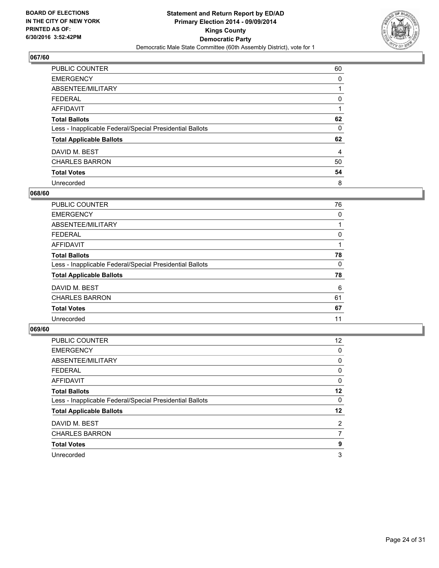

| <b>PUBLIC COUNTER</b>                                    | 60 |
|----------------------------------------------------------|----|
| <b>EMERGENCY</b>                                         | 0  |
| ABSENTEE/MILITARY                                        |    |
| <b>FEDERAL</b>                                           | 0  |
| <b>AFFIDAVIT</b>                                         |    |
| <b>Total Ballots</b>                                     | 62 |
| Less - Inapplicable Federal/Special Presidential Ballots | 0  |
| <b>Total Applicable Ballots</b>                          | 62 |
| DAVID M. BEST                                            | 4  |
| <b>CHARLES BARRON</b>                                    | 50 |
| <b>Total Votes</b>                                       | 54 |
| Unrecorded                                               | 8  |

#### **068/60**

| <b>PUBLIC COUNTER</b>                                    | 76 |
|----------------------------------------------------------|----|
| <b>EMERGENCY</b>                                         | 0  |
| ABSENTEE/MILITARY                                        |    |
| FEDERAL                                                  | 0  |
| <b>AFFIDAVIT</b>                                         |    |
| <b>Total Ballots</b>                                     | 78 |
| Less - Inapplicable Federal/Special Presidential Ballots | 0  |
| <b>Total Applicable Ballots</b>                          | 78 |
| DAVID M. BEST                                            | 6  |
| <b>CHARLES BARRON</b>                                    | 61 |
| <b>Total Votes</b>                                       | 67 |
| Unrecorded                                               | 11 |

| <b>PUBLIC COUNTER</b>                                    | 12 <sup>2</sup> |
|----------------------------------------------------------|-----------------|
| <b>EMERGENCY</b>                                         | 0               |
| ABSENTEE/MILITARY                                        | 0               |
| <b>FEDERAL</b>                                           | 0               |
| <b>AFFIDAVIT</b>                                         | 0               |
| <b>Total Ballots</b>                                     | $12 \,$         |
| Less - Inapplicable Federal/Special Presidential Ballots | 0               |
| <b>Total Applicable Ballots</b>                          | $12 \,$         |
| DAVID M. BEST                                            | $\overline{2}$  |
| <b>CHARLES BARRON</b>                                    | 7               |
| <b>Total Votes</b>                                       | 9               |
| Unrecorded                                               | 3               |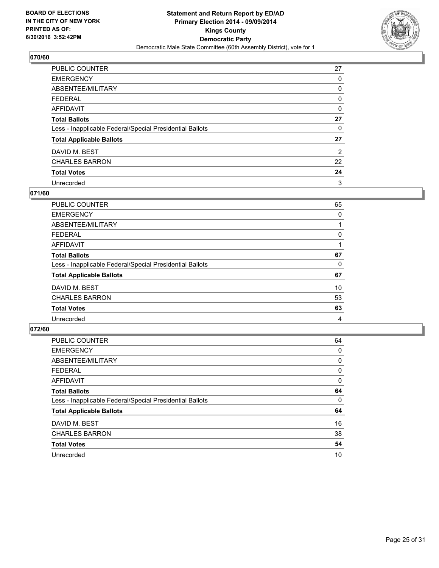

| <b>PUBLIC COUNTER</b>                                    | 27             |
|----------------------------------------------------------|----------------|
| <b>EMERGENCY</b>                                         | 0              |
| ABSENTEE/MILITARY                                        | 0              |
| <b>FEDERAL</b>                                           | 0              |
| <b>AFFIDAVIT</b>                                         | 0              |
| <b>Total Ballots</b>                                     | 27             |
| Less - Inapplicable Federal/Special Presidential Ballots | 0              |
| <b>Total Applicable Ballots</b>                          | 27             |
| DAVID M. BEST                                            | $\overline{2}$ |
| <b>CHARLES BARRON</b>                                    | 22             |
| <b>Total Votes</b>                                       | 24             |
| Unrecorded                                               | 3              |

#### **071/60**

| <b>PUBLIC COUNTER</b>                                    | 65 |
|----------------------------------------------------------|----|
| <b>EMERGENCY</b>                                         | 0  |
| ABSENTEE/MILITARY                                        |    |
| <b>FEDERAL</b>                                           | 0  |
| <b>AFFIDAVIT</b>                                         |    |
| <b>Total Ballots</b>                                     | 67 |
| Less - Inapplicable Federal/Special Presidential Ballots | 0  |
| <b>Total Applicable Ballots</b>                          | 67 |
| DAVID M. BEST                                            | 10 |
| <b>CHARLES BARRON</b>                                    | 53 |
| <b>Total Votes</b>                                       | 63 |
| Unrecorded                                               | 4  |
|                                                          |    |

| <b>PUBLIC COUNTER</b>                                    | 64 |
|----------------------------------------------------------|----|
| <b>EMERGENCY</b>                                         | 0  |
| ABSENTEE/MILITARY                                        | 0  |
| <b>FEDERAL</b>                                           | 0  |
| <b>AFFIDAVIT</b>                                         | 0  |
| <b>Total Ballots</b>                                     | 64 |
| Less - Inapplicable Federal/Special Presidential Ballots | 0  |
| <b>Total Applicable Ballots</b>                          | 64 |
| DAVID M. BEST                                            | 16 |
| <b>CHARLES BARRON</b>                                    | 38 |
| <b>Total Votes</b>                                       | 54 |
| Unrecorded                                               | 10 |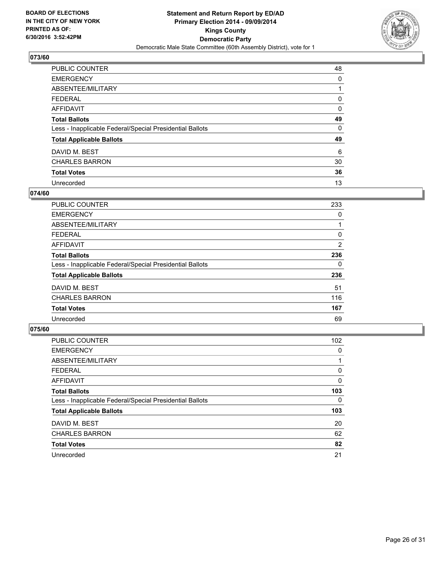

| <b>PUBLIC COUNTER</b>                                    | 48 |
|----------------------------------------------------------|----|
| <b>EMERGENCY</b>                                         | 0  |
| ABSENTEE/MILITARY                                        |    |
| <b>FEDERAL</b>                                           | 0  |
| <b>AFFIDAVIT</b>                                         | 0  |
| <b>Total Ballots</b>                                     | 49 |
| Less - Inapplicable Federal/Special Presidential Ballots | 0  |
| <b>Total Applicable Ballots</b>                          | 49 |
| DAVID M. BEST                                            | 6  |
| <b>CHARLES BARRON</b>                                    | 30 |
| <b>Total Votes</b>                                       | 36 |
| Unrecorded                                               | 13 |

#### **074/60**

| <b>PUBLIC COUNTER</b>                                    | 233 |
|----------------------------------------------------------|-----|
| <b>EMERGENCY</b>                                         | 0   |
| ABSENTEE/MILITARY                                        |     |
| <b>FEDERAL</b>                                           | 0   |
| AFFIDAVIT                                                | 2   |
| <b>Total Ballots</b>                                     | 236 |
| Less - Inapplicable Federal/Special Presidential Ballots | 0   |
| <b>Total Applicable Ballots</b>                          | 236 |
| DAVID M. BEST                                            | 51  |
| <b>CHARLES BARRON</b>                                    | 116 |
| <b>Total Votes</b>                                       | 167 |
| Unrecorded                                               | 69  |

| PUBLIC COUNTER                                           | 102 |
|----------------------------------------------------------|-----|
| <b>EMERGENCY</b>                                         | 0   |
| ABSENTEE/MILITARY                                        |     |
| <b>FEDERAL</b>                                           | 0   |
| <b>AFFIDAVIT</b>                                         | 0   |
| <b>Total Ballots</b>                                     | 103 |
| Less - Inapplicable Federal/Special Presidential Ballots | 0   |
| <b>Total Applicable Ballots</b>                          | 103 |
| DAVID M. BEST                                            | 20  |
| <b>CHARLES BARRON</b>                                    | 62  |
| <b>Total Votes</b>                                       | 82  |
| Unrecorded                                               | 21  |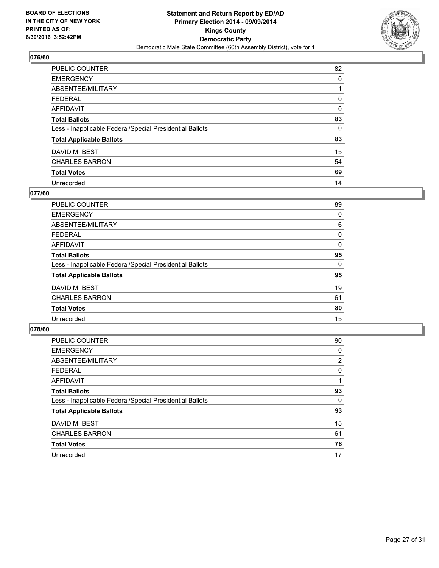

| <b>PUBLIC COUNTER</b>                                    | 82 |
|----------------------------------------------------------|----|
| <b>EMERGENCY</b>                                         | 0  |
| ABSENTEE/MILITARY                                        |    |
| <b>FEDERAL</b>                                           | 0  |
| <b>AFFIDAVIT</b>                                         | 0  |
| <b>Total Ballots</b>                                     | 83 |
| Less - Inapplicable Federal/Special Presidential Ballots | 0  |
| <b>Total Applicable Ballots</b>                          | 83 |
| DAVID M. BEST                                            | 15 |
| <b>CHARLES BARRON</b>                                    | 54 |
| <b>Total Votes</b>                                       | 69 |
| Unrecorded                                               | 14 |

#### **077/60**

| <b>PUBLIC COUNTER</b>                                    | 89 |
|----------------------------------------------------------|----|
| <b>EMERGENCY</b>                                         | 0  |
| ABSENTEE/MILITARY                                        | 6  |
| <b>FEDERAL</b>                                           | 0  |
| AFFIDAVIT                                                | 0  |
| <b>Total Ballots</b>                                     | 95 |
| Less - Inapplicable Federal/Special Presidential Ballots | 0  |
| <b>Total Applicable Ballots</b>                          | 95 |
| DAVID M. BEST                                            | 19 |
| <b>CHARLES BARRON</b>                                    | 61 |
| <b>Total Votes</b>                                       | 80 |
| Unrecorded                                               | 15 |
|                                                          |    |

| <b>PUBLIC COUNTER</b>                                    | 90             |
|----------------------------------------------------------|----------------|
| <b>EMERGENCY</b>                                         | 0              |
| ABSENTEE/MILITARY                                        | $\overline{2}$ |
| <b>FEDERAL</b>                                           | 0              |
| <b>AFFIDAVIT</b>                                         |                |
| <b>Total Ballots</b>                                     | 93             |
| Less - Inapplicable Federal/Special Presidential Ballots | 0              |
| <b>Total Applicable Ballots</b>                          | 93             |
| DAVID M. BEST                                            | 15             |
| <b>CHARLES BARRON</b>                                    | 61             |
| <b>Total Votes</b>                                       | 76             |
| Unrecorded                                               | 17             |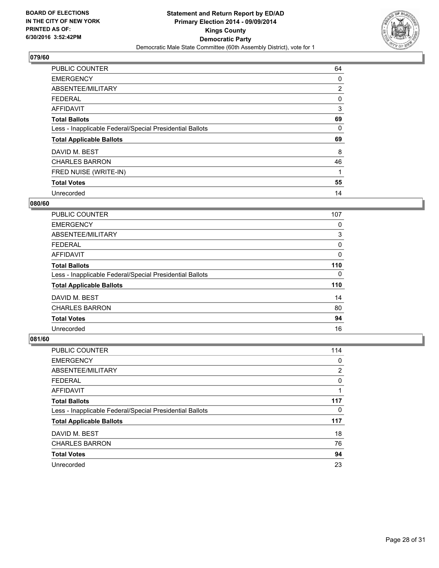

| <b>PUBLIC COUNTER</b>                                    | 64             |
|----------------------------------------------------------|----------------|
| <b>EMERGENCY</b>                                         | 0              |
| ABSENTEE/MILITARY                                        | $\overline{2}$ |
| <b>FEDERAL</b>                                           | 0              |
| <b>AFFIDAVIT</b>                                         | 3              |
| <b>Total Ballots</b>                                     | 69             |
| Less - Inapplicable Federal/Special Presidential Ballots | 0              |
| <b>Total Applicable Ballots</b>                          | 69             |
| DAVID M. BEST                                            | 8              |
| <b>CHARLES BARRON</b>                                    | 46             |
| FRED NUISE (WRITE-IN)                                    | 1              |
| <b>Total Votes</b>                                       | 55             |
| Unrecorded                                               | 14             |

#### **080/60**

| <b>PUBLIC COUNTER</b>                                    | 107 |
|----------------------------------------------------------|-----|
| <b>EMERGENCY</b>                                         | 0   |
| ABSENTEE/MILITARY                                        | 3   |
| <b>FEDERAL</b>                                           | 0   |
| <b>AFFIDAVIT</b>                                         | 0   |
| <b>Total Ballots</b>                                     | 110 |
| Less - Inapplicable Federal/Special Presidential Ballots | 0   |
| <b>Total Applicable Ballots</b>                          | 110 |
| DAVID M. BEST                                            | 14  |
| <b>CHARLES BARRON</b>                                    | 80  |
| <b>Total Votes</b>                                       | 94  |
| Unrecorded                                               | 16  |

| <b>PUBLIC COUNTER</b>                                    | 114 |
|----------------------------------------------------------|-----|
| <b>EMERGENCY</b>                                         | 0   |
| ABSENTEE/MILITARY                                        | 2   |
| <b>FEDERAL</b>                                           | 0   |
| AFFIDAVIT                                                |     |
| <b>Total Ballots</b>                                     | 117 |
| Less - Inapplicable Federal/Special Presidential Ballots | 0   |
| <b>Total Applicable Ballots</b>                          | 117 |
| DAVID M. BEST                                            | 18  |
| <b>CHARLES BARRON</b>                                    | 76  |
| <b>Total Votes</b>                                       | 94  |
| Unrecorded                                               | 23  |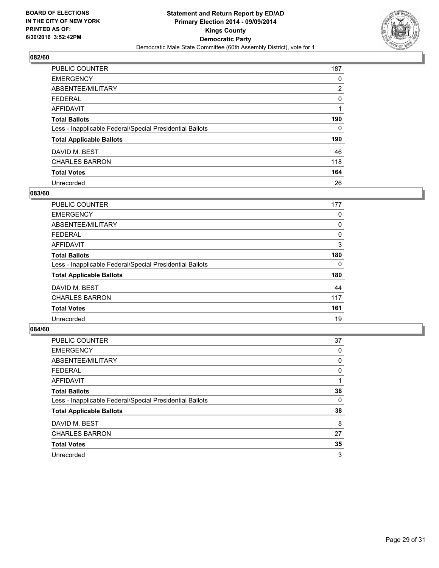

| <b>PUBLIC COUNTER</b>                                    | 187            |
|----------------------------------------------------------|----------------|
| <b>EMERGENCY</b>                                         | 0              |
| ABSENTEE/MILITARY                                        | $\overline{2}$ |
| <b>FEDERAL</b>                                           | 0              |
| AFFIDAVIT                                                |                |
| <b>Total Ballots</b>                                     | 190            |
| Less - Inapplicable Federal/Special Presidential Ballots | 0              |
| <b>Total Applicable Ballots</b>                          | 190            |
| DAVID M. BEST                                            | 46             |
| <b>CHARLES BARRON</b>                                    | 118            |
| <b>Total Votes</b>                                       | 164            |
| Unrecorded                                               | 26             |

#### **083/60**

| <b>PUBLIC COUNTER</b>                                    | 177 |
|----------------------------------------------------------|-----|
| <b>EMERGENCY</b>                                         | 0   |
| ABSENTEE/MILITARY                                        | 0   |
| <b>FEDERAL</b>                                           | 0   |
| AFFIDAVIT                                                | 3   |
| <b>Total Ballots</b>                                     | 180 |
| Less - Inapplicable Federal/Special Presidential Ballots | 0   |
| <b>Total Applicable Ballots</b>                          | 180 |
| DAVID M. BEST                                            | 44  |
| <b>CHARLES BARRON</b>                                    | 117 |
| <b>Total Votes</b>                                       | 161 |
| Unrecorded                                               | 19  |
|                                                          |     |

| <b>PUBLIC COUNTER</b>                                    | 37 |
|----------------------------------------------------------|----|
| <b>EMERGENCY</b>                                         | 0  |
| ABSENTEE/MILITARY                                        | 0  |
| <b>FEDERAL</b>                                           | 0  |
| AFFIDAVIT                                                |    |
| <b>Total Ballots</b>                                     | 38 |
| Less - Inapplicable Federal/Special Presidential Ballots | 0  |
| <b>Total Applicable Ballots</b>                          | 38 |
| DAVID M. BEST                                            | 8  |
| <b>CHARLES BARRON</b>                                    | 27 |
| <b>Total Votes</b>                                       | 35 |
| Unrecorded                                               | 3  |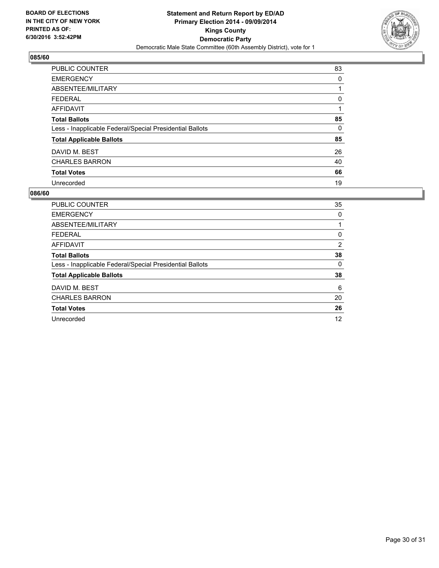

| <b>PUBLIC COUNTER</b>                                    | 83 |
|----------------------------------------------------------|----|
| <b>EMERGENCY</b>                                         | 0  |
| ABSENTEE/MILITARY                                        |    |
| <b>FEDERAL</b>                                           | 0  |
| AFFIDAVIT                                                |    |
| <b>Total Ballots</b>                                     | 85 |
| Less - Inapplicable Federal/Special Presidential Ballots | 0  |
| <b>Total Applicable Ballots</b>                          | 85 |
| DAVID M. BEST                                            | 26 |
| <b>CHARLES BARRON</b>                                    | 40 |
| <b>Total Votes</b>                                       | 66 |
| Unrecorded                                               | 19 |

| <b>PUBLIC COUNTER</b>                                    | 35             |
|----------------------------------------------------------|----------------|
| <b>EMERGENCY</b>                                         | 0              |
| ABSENTEE/MILITARY                                        |                |
| <b>FEDERAL</b>                                           | 0              |
| AFFIDAVIT                                                | $\overline{2}$ |
| <b>Total Ballots</b>                                     | 38             |
| Less - Inapplicable Federal/Special Presidential Ballots | 0              |
| <b>Total Applicable Ballots</b>                          | 38             |
| DAVID M. BEST                                            | 6              |
| <b>CHARLES BARRON</b>                                    | 20             |
| <b>Total Votes</b>                                       | 26             |
| Unrecorded                                               | 12             |